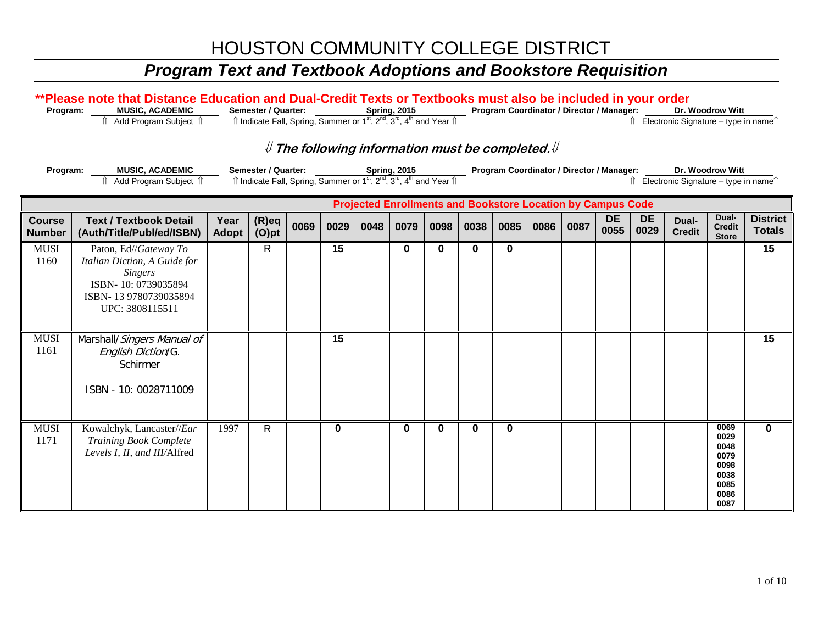| Program:                       | **Please note that Distance Education and Dual-Credit Texts or Textbooks must also be included in your order<br><b>MUSIC, ACADEMIC</b>     |                      | Semester / Quarter:                                                                                                                          |      |      |      | <b>Spring, 2015</b> |          |              |      |                                                        |      | Program Coordinator / Director / Manager:                          |                   |                                          | Dr. Woodrow Witt                                                     |                                  |
|--------------------------------|--------------------------------------------------------------------------------------------------------------------------------------------|----------------------|----------------------------------------------------------------------------------------------------------------------------------------------|------|------|------|---------------------|----------|--------------|------|--------------------------------------------------------|------|--------------------------------------------------------------------|-------------------|------------------------------------------|----------------------------------------------------------------------|----------------------------------|
|                                | î Add Program Subject î                                                                                                                    |                      | Îl Indicate Fall, Spring, Summer or 1 <sup>st</sup> , 2 <sup>nd</sup> , 3 <sup>rd</sup> , 4 <sup>th</sup> and Year Îl                        |      |      |      |                     |          |              |      |                                                        |      |                                                                    |                   | î Electronic Signature – type in nameî   |                                                                      |                                  |
|                                |                                                                                                                                            |                      |                                                                                                                                              |      |      |      |                     |          |              |      | $\#$ The following information must be completed. $\#$ |      |                                                                    |                   |                                          |                                                                      |                                  |
| Program:                       | <b>MUSIC, ACADEMIC</b><br>Add Program Subject 1                                                                                            |                      | Semester / Quarter:<br>Îl Indicate Fall, Spring, Summer or 1 <sup>st</sup> , 2 <sup>nd</sup> , 3 <sup>rd</sup> , 4 <sup>th</sup> and Year Îl |      |      |      | <b>Spring, 2015</b> |          |              |      |                                                        |      | Program Coordinator / Director / Manager:                          |                   | Îl Electronic Signature - type in nameîl | Dr. Woodrow Witt                                                     |                                  |
|                                |                                                                                                                                            |                      |                                                                                                                                              |      |      |      |                     |          |              |      |                                                        |      | <b>Projected Enrollments and Bookstore Location by Campus Code</b> |                   |                                          |                                                                      |                                  |
| <b>Course</b><br><b>Number</b> | <b>Text / Textbook Detail</b><br>(Auth/Title/Publ/ed/ISBN)                                                                                 | Year<br><b>Adopt</b> | $(R)$ eq<br>$(O)$ pt                                                                                                                         | 0069 | 0029 | 0048 | 0079                | 0098     | 0038         | 0085 | 0086                                                   | 0087 | <b>DE</b><br>0055                                                  | <b>DE</b><br>0029 | Dual-<br><b>Credit</b>                   | Dual-<br><b>Credit</b><br><b>Store</b>                               | <b>District</b><br><b>Totals</b> |
| <b>MUSI</b><br>1160            | Paton, Ed//Gateway To<br>Italian Diction, A Guide for<br><b>Singers</b><br>ISBN-10: 0739035894<br>ISBN-13 9780739035894<br>UPC: 3808115511 |                      | R                                                                                                                                            |      | 15   |      | 0                   | $\bf{0}$ | <sup>0</sup> | 0    |                                                        |      |                                                                    |                   |                                          |                                                                      | 15                               |
| <b>MUSI</b><br>1161            | Marshall/Singers Manual of<br>English Diction/G.<br>Schirmer<br>ISBN - 10: 0028711009                                                      |                      |                                                                                                                                              |      | 15   |      |                     |          |              |      |                                                        |      |                                                                    |                   |                                          |                                                                      | 15                               |
| <b>MUSI</b><br>1171            | Kowalchyk, Lancaster//Ear<br><b>Training Book Complete</b><br>Levels I, II, and III/Alfred                                                 | 1997                 | R                                                                                                                                            |      | 0    |      | 0                   | 0        | $\bf{0}$     | 0    |                                                        |      |                                                                    |                   |                                          | 0069<br>0029<br>0048<br>0079<br>0098<br>0038<br>0085<br>0086<br>0087 | 0                                |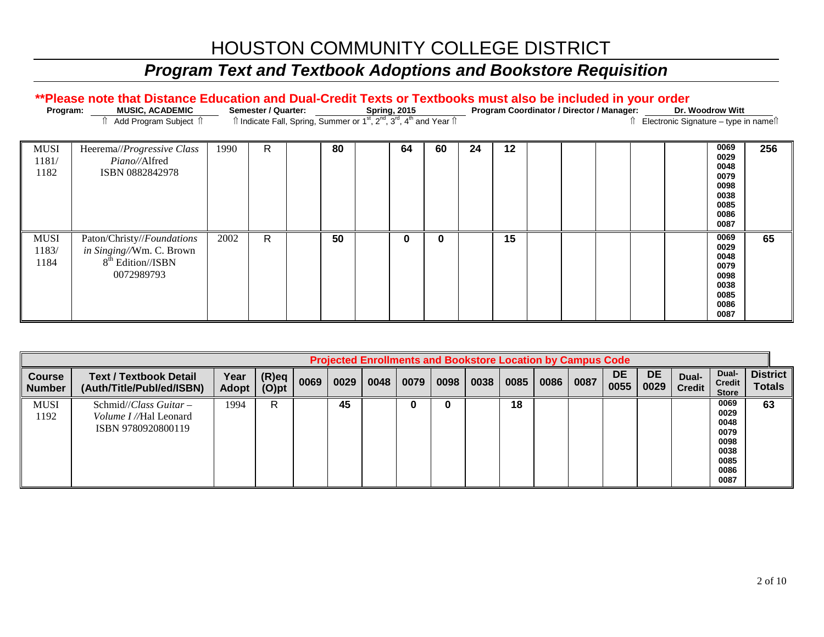# *Program Text and Textbook Adoptions and Bookstore Requisition*

#### \*\*Please note that Distance Education and Dual-Credit Texts or Textbooks must also be included in your order

|                              | <b>MUSIC, ACADEMIC</b><br>Semester / Quarter:<br>Program:<br>î Indicate Fall, Spring, Summer or 1 <sup>st</sup> , 2 <sup>nd</sup> , 3 <sup>rd</sup> , 4 <sup>th</sup> and Year î<br><b>↑ Add Program Subject ↑</b> |      |    |  |    | <b>Spring, 2015</b> |    |          |    |    |  | Program Coordinator / Director / Manager: | Dr. Woodrow Witt                      |                                                                      |     |
|------------------------------|--------------------------------------------------------------------------------------------------------------------------------------------------------------------------------------------------------------------|------|----|--|----|---------------------|----|----------|----|----|--|-------------------------------------------|---------------------------------------|----------------------------------------------------------------------|-----|
|                              |                                                                                                                                                                                                                    |      |    |  |    |                     |    |          |    |    |  |                                           | Electronic Signature – type in name f |                                                                      |     |
| <b>MUSI</b><br>1181/<br>1182 | Heerema//Progressive Class<br>Piano//Alfred<br>ISBN 0882842978                                                                                                                                                     | 1990 | R. |  | 80 |                     | 64 | 60       | 24 | 12 |  |                                           |                                       | 0069<br>0029<br>0048<br>0079<br>0098<br>0038<br>0085<br>0086<br>0087 | 256 |
| <b>MUSI</b><br>1183/<br>1184 | Paton/Christy//Foundations<br>in Singing//Wm. C. Brown<br>8 <sup>th</sup> Edition//ISBN<br>0072989793                                                                                                              | 2002 | R  |  | 50 |                     |    | $\bf{0}$ |    | 15 |  |                                           |                                       | 0069<br>0029<br>0048<br>0079<br>0098<br>0038<br>0085<br>0086<br>0087 | 65  |

|                                |                                                                                         |               |                      |      |      |      |      |      |      | Projected Enrollments and Bookstore Location by Campus Code |      |      |                   |                   |                        |                                                                      |                                  |  |
|--------------------------------|-----------------------------------------------------------------------------------------|---------------|----------------------|------|------|------|------|------|------|-------------------------------------------------------------|------|------|-------------------|-------------------|------------------------|----------------------------------------------------------------------|----------------------------------|--|
| <b>Course</b><br><b>Number</b> | <b>Text / Textbook Detail</b><br>(Auth/Title/Publ/ed/ISBN)                              | Year<br>Adopt | $(R)$ eq<br>$(O)$ pt | 0069 | 0029 | 0048 | 0079 | 0098 | 0038 | 0085                                                        | 0086 | 0087 | <b>DE</b><br>0055 | <b>DE</b><br>0029 | Dual-<br><b>Credit</b> | Dual-<br><b>Credit</b><br><b>Store</b>                               | <b>District</b><br><b>Totals</b> |  |
| <b>MUSI</b><br>1192            | Schmid// <i>Class Guitar</i> $-$<br><i>Volume I</i> //Hal Leonard<br>ISBN 9780920800119 | 1994          | R                    |      | 45   |      |      | O    |      | 18                                                          |      |      |                   |                   |                        | 0069<br>0029<br>0048<br>0079<br>0098<br>0038<br>0085<br>0086<br>0087 | 63                               |  |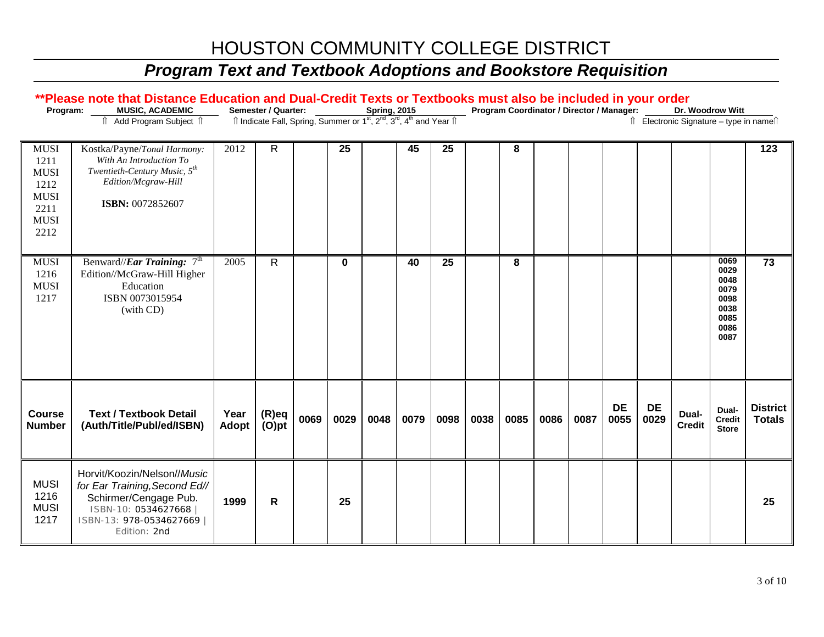| Program:                                                                                 | **Please note that Distance Education and Dual-Credit Texts or Textbooks must also be included in your order<br>MUSIC, ACADEMIC<br>⇑<br>Add Program Subject 1 |               | Semester / Quarter:<br>Îl Indicate Fall, Spring, Summer or 1 <sup>st</sup> , 2 <sup>nd</sup> , 3 <sup>rd</sup> , 4 <sup>th</sup> and Year Îl |      |          | <b>Spring, 2015</b> |      |      |      |      |      | Program Coordinator / Director / Manager: |                   |                   | Dr. Woodrow Witt<br>↑ Electronic Signature - type in name |                                                                      |                                  |
|------------------------------------------------------------------------------------------|---------------------------------------------------------------------------------------------------------------------------------------------------------------|---------------|----------------------------------------------------------------------------------------------------------------------------------------------|------|----------|---------------------|------|------|------|------|------|-------------------------------------------|-------------------|-------------------|-----------------------------------------------------------|----------------------------------------------------------------------|----------------------------------|
| <b>MUSI</b><br>1211<br><b>MUSI</b><br>1212<br><b>MUSI</b><br>2211<br><b>MUSI</b><br>2212 | Kostka/Payne/Tonal Harmony:<br>With An Introduction To<br>Twentieth-Century Music, 5 <sup>th</sup><br>Edition/Mcgraw-Hill<br>ISBN: 0072852607                 | 2012          | R                                                                                                                                            |      | 25       |                     | 45   | 25   |      | 8    |      |                                           |                   |                   |                                                           |                                                                      | 123                              |
| <b>MUSI</b><br>1216<br><b>MUSI</b><br>1217                                               | Benward//Ear Training: 7th<br>Edition//McGraw-Hill Higher<br>Education<br>ISBN 0073015954<br>(with CD)                                                        | 2005          | R.                                                                                                                                           |      | $\bf{0}$ |                     | 40   | 25   |      | 8    |      |                                           |                   |                   |                                                           | 0069<br>0029<br>0048<br>0079<br>0098<br>0038<br>0085<br>0086<br>0087 | 73                               |
| Course<br><b>Number</b>                                                                  | <b>Text / Textbook Detail</b><br>(Auth/Title/Publ/ed/ISBN)                                                                                                    | Year<br>Adopt | $(R)$ eq<br>$(O)$ pt                                                                                                                         | 0069 | 0029     | 0048                | 0079 | 0098 | 0038 | 0085 | 0086 | 0087                                      | <b>DE</b><br>0055 | <b>DE</b><br>0029 | Dual-<br><b>Credit</b>                                    | Dual-<br><b>Credit</b><br><b>Store</b>                               | <b>District</b><br><b>Totals</b> |
| <b>MUSI</b><br>1216<br><b>MUSI</b><br>1217                                               | Horvit/Koozin/Nelson//Music<br>for Ear Training, Second Ed//<br>Schirmer/Cengage Pub.<br>ISBN-10: 0534627668<br>ISBN-13: 978-0534627669<br>Edition: 2nd       | 1999          | R                                                                                                                                            |      | 25       |                     |      |      |      |      |      |                                           |                   |                   |                                                           |                                                                      | 25                               |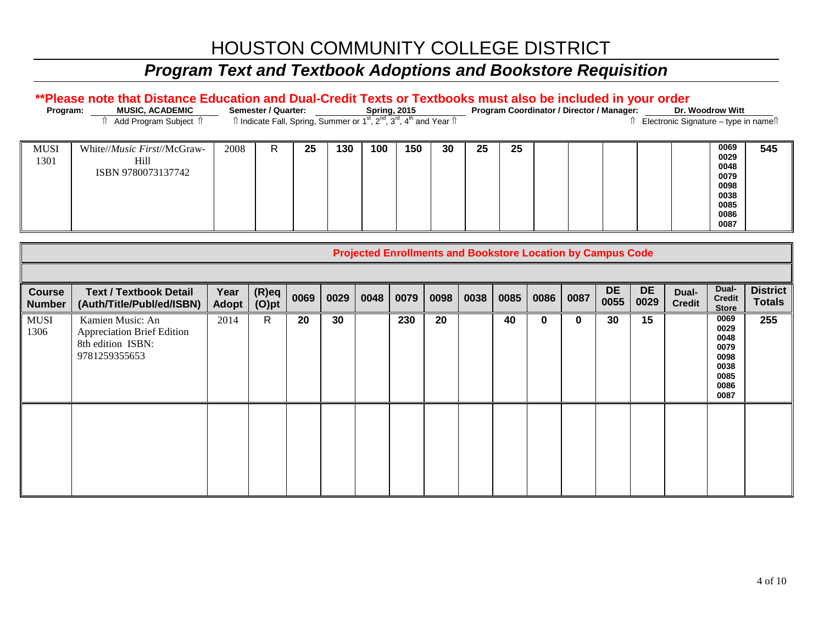#### *Program Text and Textbook Adoptions and Bookstore Requisition*

#### \*\*Please note that Distance Education and Dual-Credit Texts or Textbooks must also be included in your order

| Program:            | MUSIC, ACADEMIC<br><b>↑ Add Program Subject ↑</b>                  |      | Semester / Quarter:<br>îl Indicate Fall, Spring, Summer or 1 <sup>st</sup> , 2 <sup>nd</sup> , 3 <sup>rd</sup> , 4 <sup>th</sup> and Year îl |    |     | <b>Spring, 2015</b> |     |    |    |    | Program Coordinator / Director / Manager: | Electronic Signature - type in namest | Dr. Woodrow Witt                                                     |     |
|---------------------|--------------------------------------------------------------------|------|----------------------------------------------------------------------------------------------------------------------------------------------|----|-----|---------------------|-----|----|----|----|-------------------------------------------|---------------------------------------|----------------------------------------------------------------------|-----|
| <b>MUSI</b><br>1301 | White// <i>Music First</i> //McGraw-<br>Hill<br>ISBN 9780073137742 | 2008 | R                                                                                                                                            | 25 | 130 | 100                 | 150 | 30 | 25 | 25 |                                           |                                       | 0069<br>0029<br>0048<br>0079<br>0098<br>0038<br>0085<br>0086<br>0087 | 545 |

|                                |                                                                                             |               |                      |      |      |      | <b>Projected Enrollments and Bookstore Location by Campus Code</b> |      |      |      |             |          |                   |                   |                        |                                                                      |                                  |
|--------------------------------|---------------------------------------------------------------------------------------------|---------------|----------------------|------|------|------|--------------------------------------------------------------------|------|------|------|-------------|----------|-------------------|-------------------|------------------------|----------------------------------------------------------------------|----------------------------------|
|                                |                                                                                             |               |                      |      |      |      |                                                                    |      |      |      |             |          |                   |                   |                        |                                                                      |                                  |
| <b>Course</b><br><b>Number</b> | <b>Text / Textbook Detail</b><br>(Auth/Title/Publ/ed/ISBN)                                  | Year<br>Adopt | $(R)$ eq<br>$(O)$ pt | 0069 | 0029 | 0048 | 0079                                                               | 0098 | 0038 | 0085 | 0086        | 0087     | <b>DE</b><br>0055 | <b>DE</b><br>0029 | Dual-<br><b>Credit</b> | Dual-<br><b>Credit</b><br><b>Store</b>                               | <b>District</b><br><b>Totals</b> |
| <b>MUSI</b><br>1306            | Kamien Music: An<br><b>Appreciation Brief Edition</b><br>8th edition ISBN:<br>9781259355653 | 2014          | $\mathsf{R}$         | 20   | 30   |      | 230                                                                | 20   |      | 40   | $\mathbf 0$ | $\bf{0}$ | 30                | 15                |                        | 0069<br>0029<br>0048<br>0079<br>0098<br>0038<br>0085<br>0086<br>0087 | 255                              |
|                                |                                                                                             |               |                      |      |      |      |                                                                    |      |      |      |             |          |                   |                   |                        |                                                                      |                                  |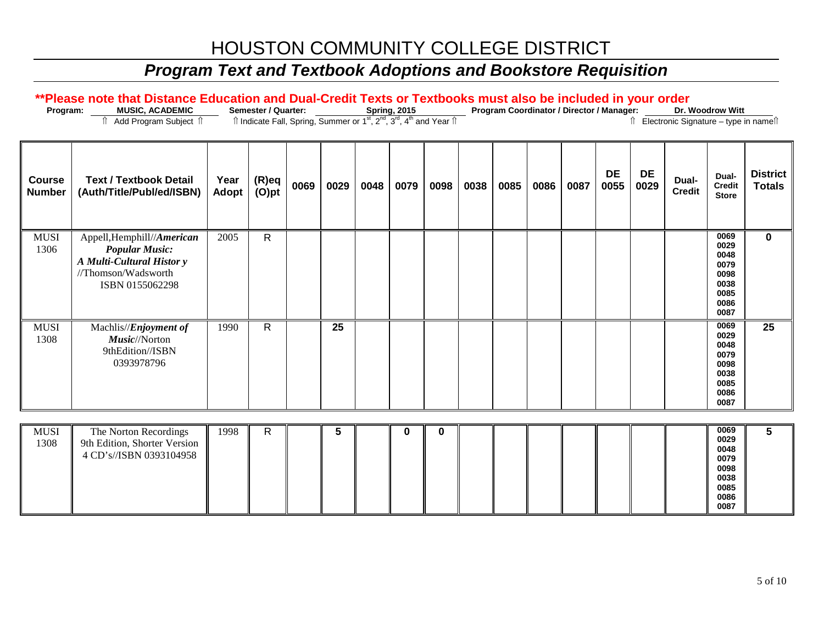#### *Program Text and Textbook Adoptions and Bookstore Requisition*

| Program:                       | **Please note that Distance Education and Dual-Credit Texts or Textbooks must also be included in your order<br><b>MUSIC, ACADEMIC</b><br>Add Program Subject 1 |               | Semester / Quarter:<br>Îl Indicate Fall, Spring, Summer or 1 <sup>st</sup> , 2 <sup>nd</sup> , 3 <sup>rd</sup> , 4 <sup>th</sup> and Year Îl |      |      |      | <b>Spring, 2015</b> |          |      |      |      |      | Program Coordinator / Director / Manager: |            | î Electronic Signature – type in nameî | Dr. Woodrow Witt                                                     |                                  |
|--------------------------------|-----------------------------------------------------------------------------------------------------------------------------------------------------------------|---------------|----------------------------------------------------------------------------------------------------------------------------------------------|------|------|------|---------------------|----------|------|------|------|------|-------------------------------------------|------------|----------------------------------------|----------------------------------------------------------------------|----------------------------------|
| <b>Course</b><br><b>Number</b> | <b>Text / Textbook Detail</b><br>(Auth/Title/Publ/ed/ISBN)                                                                                                      | Year<br>Adopt | $(R)$ eq<br>$(O)$ pt                                                                                                                         | 0069 | 0029 | 0048 | 0079                | 0098     | 0038 | 0085 | 0086 | 0087 | <b>DE</b><br>0055                         | DE<br>0029 | Dual-<br><b>Credit</b>                 | Dual-<br><b>Credit</b><br><b>Store</b>                               | <b>District</b><br><b>Totals</b> |
| <b>MUSI</b><br>1306            | Appell, Hemphill//American<br><b>Popular Music:</b><br>A Multi-Cultural Histor y<br>//Thomson/Wadsworth<br>ISBN 0155062298                                      | 2005          | $\mathsf{R}$                                                                                                                                 |      |      |      |                     |          |      |      |      |      |                                           |            |                                        | 0069<br>0029<br>0048<br>0079<br>0098<br>0038<br>0085<br>0086<br>0087 | $\mathbf{0}$                     |
| <b>MUSI</b><br>1308            | Machlis//Enjoyment of<br>Music//Norton<br>9thEdition//ISBN<br>0393978796                                                                                        | 1990          | $\mathsf{R}$                                                                                                                                 |      | 25   |      |                     |          |      |      |      |      |                                           |            |                                        | 0069<br>0029<br>0048<br>0079<br>0098<br>0038<br>0085<br>0086<br>0087 | $\overline{25}$                  |
| <b>MUSI</b><br>1308            | The Norton Recordings<br>9th Edition, Shorter Version<br>4 CD's//ISBN 0393104958                                                                                | 1998          | $\mathsf{R}$                                                                                                                                 |      | 5    |      | 0                   | $\bf{0}$ |      |      |      |      |                                           |            |                                        | 0069<br>0029<br>0048<br>0079<br>0098<br>0038                         | 5                                |

**0085 0086 0087**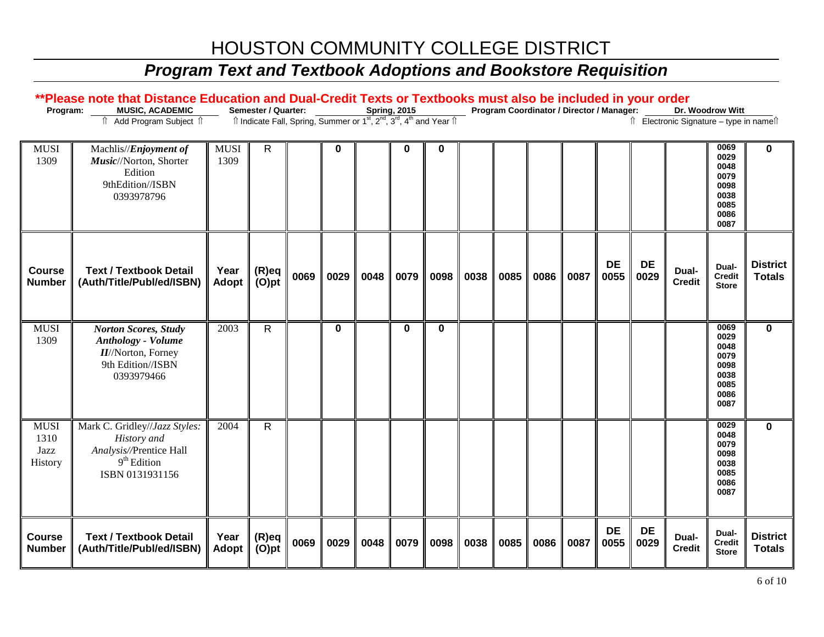| Program:                               | **Please note that Distance Education and Dual-Credit Texts or Textbooks must also be included in your order<br><b>MUSIC, ACADEMIC</b><br>⇑<br>Add Program Subject 1 |                     | Semester / Quarter:<br>fl Indicate Fall, Spring, Summer or 1 <sup>st</sup> , 2 <sup>nd</sup> , 3 <sup>rd</sup> , 4 <sup>th</sup> and Year fl |      |             |      | <b>Spring, 2015</b> |             |      | Program Coordinator / Director / Manager: |      |      |                   |                   | î Electronic Signature - type in nameî | Dr. Woodrow Witt                                                     |                                  |
|----------------------------------------|----------------------------------------------------------------------------------------------------------------------------------------------------------------------|---------------------|----------------------------------------------------------------------------------------------------------------------------------------------|------|-------------|------|---------------------|-------------|------|-------------------------------------------|------|------|-------------------|-------------------|----------------------------------------|----------------------------------------------------------------------|----------------------------------|
| <b>MUSI</b><br>1309                    | Machlis// <i>Enjoyment of</i><br>Music//Norton, Shorter<br>Edition<br>9thEdition//ISBN<br>0393978796                                                                 | <b>MUSI</b><br>1309 | ${\sf R}$                                                                                                                                    |      | $\mathbf 0$ |      | 0                   | $\bf{0}$    |      |                                           |      |      |                   |                   |                                        | 0069<br>0029<br>0048<br>0079<br>0098<br>0038<br>0085<br>0086<br>0087 | $\bf{0}$                         |
| <b>Course</b><br><b>Number</b>         | <b>Text / Textbook Detail</b><br>(Auth/Title/Publ/ed/ISBN)                                                                                                           | Year<br>Adopt       | $(R)$ eq<br>$(O)$ pt                                                                                                                         | 0069 | 0029        | 0048 | 0079                | 0098        | 0038 | 0085                                      | 0086 | 0087 | <b>DE</b><br>0055 | <b>DE</b><br>0029 | Dual-<br><b>Credit</b>                 | Dual-<br><b>Credit</b><br><b>Store</b>                               | <b>District</b><br><b>Totals</b> |
| <b>MUSI</b><br>1309                    | <b>Norton Scores, Study</b><br><b>Anthology - Volume</b><br><b>II</b> //Norton, Forney<br>9th Edition//ISBN<br>0393979466                                            | 2003                | $\mathsf{R}$                                                                                                                                 |      | $\mathbf 0$ |      | $\bf{0}$            | $\mathbf 0$ |      |                                           |      |      |                   |                   |                                        | 0069<br>0029<br>0048<br>0079<br>0098<br>0038<br>0085<br>0086<br>0087 | 0                                |
| <b>MUSI</b><br>1310<br>Jazz<br>History | Mark C. Gridley//Jazz Styles:<br>History and<br>Analysis//Prentice Hall<br>$9th$ Edition<br>ISBN 0131931156                                                          | 2004                | $\mathsf{R}$                                                                                                                                 |      |             |      |                     |             |      |                                           |      |      |                   |                   |                                        | 0029<br>0048<br>0079<br>0098<br>0038<br>0085<br>0086<br>0087         | $\bf{0}$                         |
| <b>Course</b><br><b>Number</b>         | <b>Text / Textbook Detail</b><br>(Auth/Title/Publ/ed/ISBN)                                                                                                           | Year<br>Adopt       | $(R)$ eq<br>$(O)$ pt                                                                                                                         | 0069 | 0029        | 0048 | 0079                | 0098        | 0038 | 0085                                      | 0086 | 0087 | <b>DE</b><br>0055 | <b>DE</b><br>0029 | Dual-<br><b>Credit</b>                 | Dual-<br><b>Credit</b><br><b>Store</b>                               | <b>District</b><br><b>Totals</b> |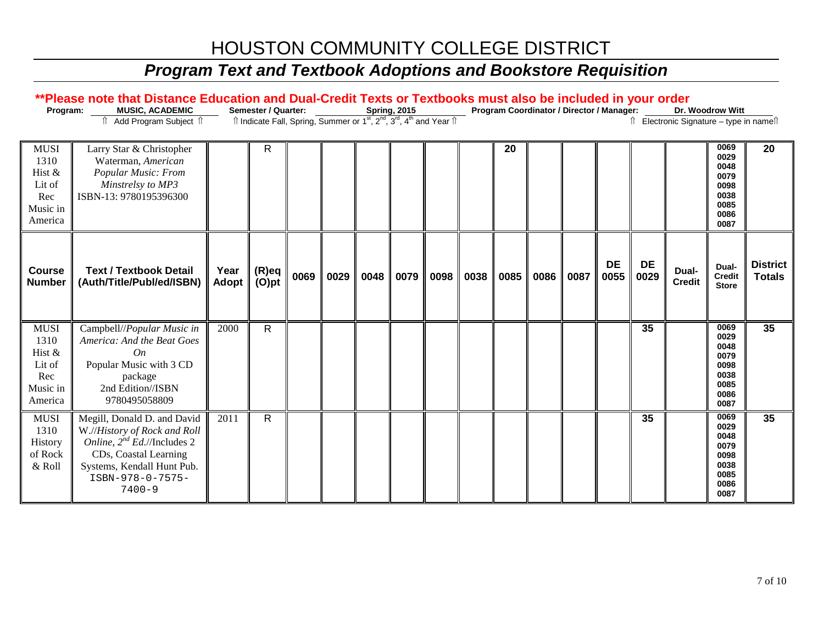| Program:                                                              | **Please note that Distance Education and Dual-Credit Texts or Textbooks must also be included in your order<br><b>MUSIC, ACADEMIC</b>                                                                  |               |                                                                                                                                                     | <b>Spring, 2015</b> |      |      |      | Program Coordinator / Director / Manager: |      |      |      |      | Dr. Woodrow Witt |                   |                                       |                                                                      |                                  |
|-----------------------------------------------------------------------|---------------------------------------------------------------------------------------------------------------------------------------------------------------------------------------------------------|---------------|-----------------------------------------------------------------------------------------------------------------------------------------------------|---------------------|------|------|------|-------------------------------------------|------|------|------|------|------------------|-------------------|---------------------------------------|----------------------------------------------------------------------|----------------------------------|
|                                                                       | Add Program Subject 1                                                                                                                                                                                   |               | $\hat{\parallel}$ Indicate Fall, Spring, Summer or 1 <sup>st</sup> , 2 <sup>nd</sup> , 3 <sup>rd</sup> , 4 <sup>th</sup> and Year $\hat{\parallel}$ |                     |      |      |      |                                           |      |      |      |      |                  |                   | Electronic Signature - type in namell |                                                                      |                                  |
| <b>MUSI</b><br>1310<br>Hist &<br>Lit of<br>Rec<br>Music in<br>America | Larry Star & Christopher<br>Waterman, American<br>Popular Music: From<br>Minstrelsy to MP3<br>ISBN-13: 9780195396300                                                                                    |               | R                                                                                                                                                   |                     |      |      |      |                                           |      | 20   |      |      |                  |                   |                                       | 0069<br>0029<br>0048<br>0079<br>0098<br>0038<br>0085<br>0086<br>0087 | 20                               |
| <b>Course</b><br><b>Number</b>                                        | <b>Text / Textbook Detail</b><br>(Auth/Title/Publ/ed/ISBN)                                                                                                                                              | Year<br>Adopt | $(R)$ eq<br>$(O)$ pt                                                                                                                                | 0069                | 0029 | 0048 | 0079 | 0098                                      | 0038 | 0085 | 0086 | 0087 | DE<br>0055       | <b>DE</b><br>0029 | Dual-<br><b>Credit</b>                | Dual-<br><b>Credit</b><br><b>Store</b>                               | <b>District</b><br><b>Totals</b> |
| <b>MUSI</b><br>1310<br>Hist &<br>Lit of<br>Rec<br>Music in<br>America | Campbell//Popular Music in<br>America: And the Beat Goes<br><b>On</b><br>Popular Music with 3 CD<br>package<br>2nd Edition//ISBN<br>9780495058809                                                       | 2000          | $\mathsf{R}$                                                                                                                                        |                     |      |      |      |                                           |      |      |      |      |                  | 35                |                                       | 0069<br>0029<br>0048<br>0079<br>0098<br>0038<br>0085<br>0086<br>0087 | 35                               |
| ${\rm MUSI}$<br>1310<br>History<br>of Rock<br>& Roll                  | Megill, Donald D. and David<br>W.//History of Rock and Roll<br><i>Online,</i> $2^{nd}$ <i>Ed.</i> //Includes 2<br>CDs, Coastal Learning<br>Systems, Kendall Hunt Pub.<br>ISBN-978-0-7575-<br>$7400 - 9$ | 2011          | $\mathsf{R}$                                                                                                                                        |                     |      |      |      |                                           |      |      |      |      |                  | 35                |                                       | 0069<br>0029<br>0048<br>0079<br>0098<br>0038<br>0085<br>0086<br>0087 | 35                               |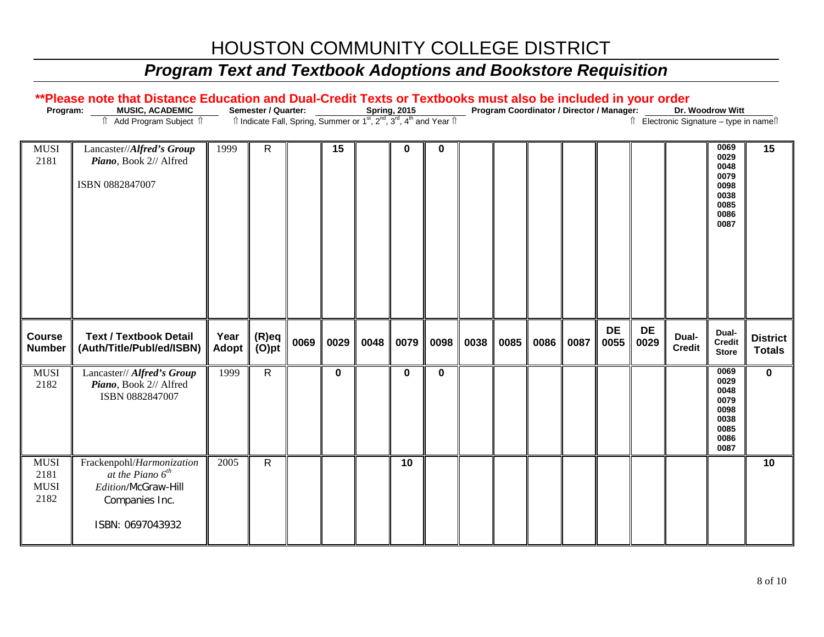| Program:                                   | **Please note that Distance Education and Dual-Credit Texts or Textbooks must also be included in your order<br>MUSIC, ACADEMIC<br>↑ Add Program Subject ↑ |               | Semester / Quarter:<br>Îl Indicate Fall, Spring, Summer or 1 <sup>st</sup> , 2 <sup>nd</sup> , 3 <sup>rd</sup> , 4 <sup>th</sup> and Year Îl |      |             |      | <b>Spring, 2015</b> |             |      |      | Program Coordinator / Director / Manager: |      |                   |                   | ↑ Electronic Signature - type in name <sup>1</sup> | Dr. Woodrow Witt                                                     |                                  |
|--------------------------------------------|------------------------------------------------------------------------------------------------------------------------------------------------------------|---------------|----------------------------------------------------------------------------------------------------------------------------------------------|------|-------------|------|---------------------|-------------|------|------|-------------------------------------------|------|-------------------|-------------------|----------------------------------------------------|----------------------------------------------------------------------|----------------------------------|
| <b>MUSI</b><br>2181                        | Lancaster//Alfred's Group<br>Piano, Book 2// Alfred<br>ISBN 0882847007                                                                                     | 1999          | $\mathsf{R}$                                                                                                                                 |      | 15          |      | 0                   | $\mathbf 0$ |      |      |                                           |      |                   |                   |                                                    | 0069<br>0029<br>0048<br>0079<br>0098<br>0038<br>0085<br>0086<br>0087 | 15                               |
| <b>Course</b><br><b>Number</b>             | <b>Text / Textbook Detail</b><br>(Auth/Title/Publ/ed/ISBN)                                                                                                 | Year<br>Adopt | $(R)$ eq<br>$(O)$ pt                                                                                                                         | 0069 | 0029        | 0048 | 0079                | 0098        | 0038 | 0085 | 0086                                      | 0087 | <b>DE</b><br>0055 | <b>DE</b><br>0029 | Dual-<br><b>Credit</b>                             | Dual-<br><b>Credit</b><br><b>Store</b>                               | <b>District</b><br><b>Totals</b> |
| <b>MUSI</b><br>2182                        | Lancaster// Alfred's Group<br>Piano, Book 2// Alfred<br>ISBN 0882847007                                                                                    | 1999          | $\overline{R}$                                                                                                                               |      | $\mathbf 0$ |      | 0                   | $\mathbf 0$ |      |      |                                           |      |                   |                   |                                                    | 0069<br>0029<br>0048<br>0079<br>0098<br>0038<br>0085<br>0086<br>0087 | $\mathbf 0$                      |
| <b>MUSI</b><br>2181<br><b>MUSI</b><br>2182 | Frackenpohl/Harmonization<br>at the Piano $6^{th}$<br>Edition/McGraw-Hill<br>Companies Inc.<br>ISBN: 0697043932                                            | 2005          | R                                                                                                                                            |      |             |      | 10                  |             |      |      |                                           |      |                   |                   |                                                    |                                                                      | 10                               |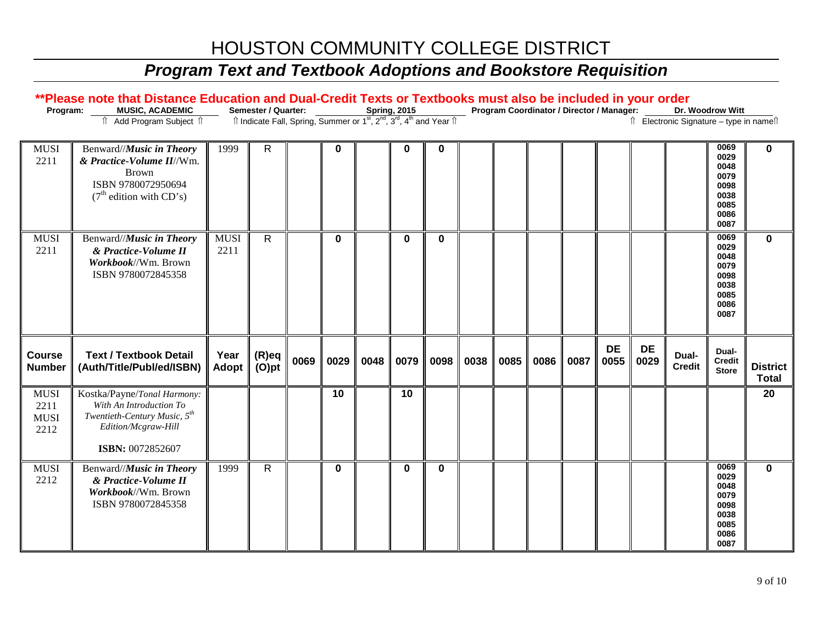| Program:                                   | **Please note that Distance Education and Dual-Credit Texts or Textbooks must also be included in your order<br>MUSIC, ACADEMIC               |                      | Semester / Quarter:                                                                                                   |      |             |      | <b>Spring, 2015</b> |             |      |      |      |      | Program Coordinator / Director / Manager: |                   |                                        | Dr. Woodrow Witt                                                     |                                 |
|--------------------------------------------|-----------------------------------------------------------------------------------------------------------------------------------------------|----------------------|-----------------------------------------------------------------------------------------------------------------------|------|-------------|------|---------------------|-------------|------|------|------|------|-------------------------------------------|-------------------|----------------------------------------|----------------------------------------------------------------------|---------------------------------|
|                                            | î Add Program Subject î                                                                                                                       |                      | Îl Indicate Fall, Spring, Summer or 1 <sup>st</sup> , 2 <sup>nd</sup> , 3 <sup>rd</sup> , 4 <sup>th</sup> and Year Îl |      |             |      |                     |             |      |      |      |      |                                           |                   | î Electronic Signature – type in nameî |                                                                      |                                 |
| <b>MUSI</b><br>2211                        | Benward//Music in Theory<br>& Practice-Volume II//Wm.<br><b>Brown</b><br>ISBN 9780072950694<br>$(7th$ edition with CD's)                      | 1999                 | $\mathsf{R}$                                                                                                          |      | $\bf{0}$    |      | 0                   | 0           |      |      |      |      |                                           |                   |                                        | 0069<br>0029<br>0048<br>0079<br>0098<br>0038<br>0085<br>0086<br>0087 | $\bf{0}$                        |
| <b>MUSI</b><br>2211                        | Benward//Music in Theory<br>& Practice-Volume II<br>Workbook//Wm. Brown<br>ISBN 9780072845358                                                 | <b>MUSI</b><br>2211  | $\overline{R}$                                                                                                        |      | $\mathbf 0$ |      | $\bf{0}$            | $\mathbf 0$ |      |      |      |      |                                           |                   |                                        | 0069<br>0029<br>0048<br>0079<br>0098<br>0038<br>0085<br>0086<br>0087 | $\Omega$                        |
| <b>Course</b><br><b>Number</b>             | <b>Text / Textbook Detail</b><br>(Auth/Title/Publ/ed/ISBN)                                                                                    | Year<br><b>Adopt</b> | $(R)$ eq<br>$(O)$ pt                                                                                                  | 0069 | 0029        | 0048 | 0079                | 0098        | 0038 | 0085 | 0086 | 0087 | <b>DE</b><br>0055                         | <b>DE</b><br>0029 | Dual-<br><b>Credit</b>                 | Dual-<br><b>Credit</b><br><b>Store</b>                               | <b>District</b><br><b>Total</b> |
| <b>MUSI</b><br>2211<br><b>MUSI</b><br>2212 | Kostka/Payne/Tonal Harmony:<br>With An Introduction To<br>Twentieth-Century Music, 5 <sup>th</sup><br>Edition/Mcgraw-Hill<br>ISBN: 0072852607 |                      |                                                                                                                       |      | 10          |      | 10                  |             |      |      |      |      |                                           |                   |                                        |                                                                      | 20                              |
| <b>MUSI</b><br>2212                        | Benward//Music in Theory<br>& Practice-Volume II<br>Workbook//Wm. Brown<br>ISBN 9780072845358                                                 | 1999                 | $\mathsf{R}$                                                                                                          |      | $\mathbf 0$ |      | $\bf{0}$            | $\bf{0}$    |      |      |      |      |                                           |                   |                                        | 0069<br>0029<br>0048<br>0079<br>0098<br>0038<br>0085<br>0086<br>0087 | $\mathbf 0$                     |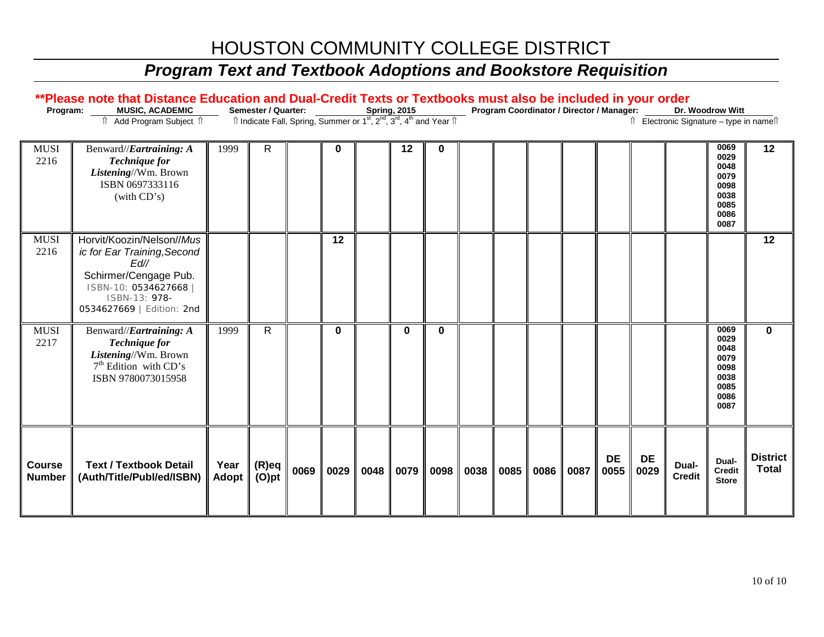| Program:                       | **Please note that Distance Education and Dual-Credit Texts or Textbooks must also be included in your order<br>MUSIC, ACADEMIC                                     |               | Semester / Quarter:                                                                                                   |      |             |      | <b>Spring, 2015</b> |             |      |      |      | Program Coordinator / Director / Manager: |                   |                   |                                        | Dr. Woodrow Witt                                                     |                                 |
|--------------------------------|---------------------------------------------------------------------------------------------------------------------------------------------------------------------|---------------|-----------------------------------------------------------------------------------------------------------------------|------|-------------|------|---------------------|-------------|------|------|------|-------------------------------------------|-------------------|-------------------|----------------------------------------|----------------------------------------------------------------------|---------------------------------|
|                                | Add Program Subject 1                                                                                                                                               |               | Îl Indicate Fall, Spring, Summer or 1 <sup>st</sup> , 2 <sup>nd</sup> , 3 <sup>rd</sup> , 4 <sup>th</sup> and Year Îl |      |             |      |                     |             |      |      |      |                                           |                   |                   | î Electronic Signature - type in nameî |                                                                      |                                 |
| <b>MUSI</b><br>2216            | Benward//Eartraining: A<br><b>Technique for</b><br>Listening//Wm. Brown<br>ISBN 0697333116<br>(with CD's)                                                           | 1999          | R                                                                                                                     |      | 0           |      | 12                  | 0           |      |      |      |                                           |                   |                   |                                        | 0069<br>0029<br>0048<br>0079<br>0098<br>0038<br>0085<br>0086<br>0087 | 12                              |
| <b>MUSI</b><br>2216            | Horvit/Koozin/Nelson//Mus<br>ic for Ear Training, Second<br>$Ed$ //<br>Schirmer/Cengage Pub.<br>ISBN-10: 0534627668  <br>ISBN-13: 978-<br>0534627669   Edition: 2nd |               |                                                                                                                       |      | 12          |      |                     |             |      |      |      |                                           |                   |                   |                                        |                                                                      | 12                              |
| <b>MUSI</b><br>2217            | Benward//Eartraining: A<br><b>Technique for</b><br>Listening//Wm. Brown<br>$7th$ Edition with CD's<br>ISBN 9780073015958                                            | 1999          | $\mathsf{R}$                                                                                                          |      | $\mathbf 0$ |      | 0                   | $\mathbf 0$ |      |      |      |                                           |                   |                   |                                        | 0069<br>0029<br>0048<br>0079<br>0098<br>0038<br>0085<br>0086<br>0087 | $\bf{0}$                        |
| <b>Course</b><br><b>Number</b> | <b>Text / Textbook Detail</b><br>(Auth/Title/Publ/ed/ISBN)                                                                                                          | Year<br>Adopt | $(R)$ eq<br>$(O)$ pt                                                                                                  | 0069 | 0029        | 0048 | 0079                | 0098        | 0038 | 0085 | 0086 | 0087                                      | <b>DE</b><br>0055 | <b>DE</b><br>0029 | Dual-<br><b>Credit</b>                 | Dual-<br><b>Credit</b><br><b>Store</b>                               | <b>District</b><br><b>Total</b> |